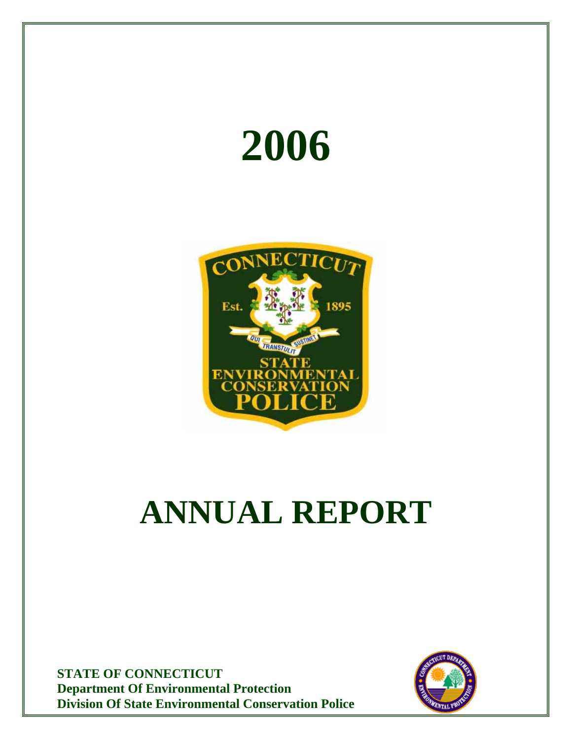



# **ANNUAL REPORT**

**STATE OF CONNECTICUT Department Of Environmental Protection Division Of State Environmental Conservation Police**

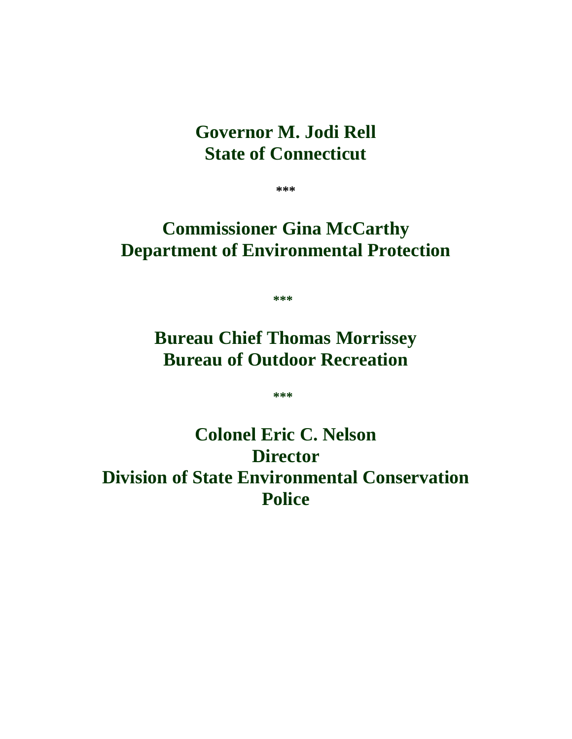# **Governor M. Jodi Rell State of Connecticut**

**\*\*\*** 

# **Commissioner Gina McCarthy Department of Environmental Protection**

 $*$ \*\*\*

# **Bureau Chief Thomas Morrissey Bureau of Outdoor Recreation**

**\*\*\*** 

# **Colonel Eric C. Nelson Director Division of State Environmental Conservation Police**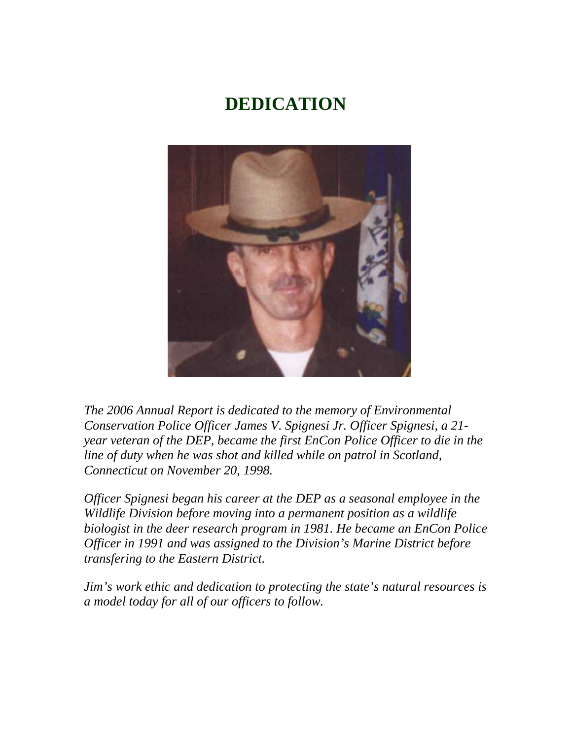# **DEDICATION**



*The 2006 Annual Report is dedicated to the memory of Environmental Conservation Police Officer James V. Spignesi Jr. Officer Spignesi, a 21 year veteran of the DEP, became the first EnCon Police Officer to die in the line of duty when he was shot and killed while on patrol in Scotland, Connecticut on November 20, 1998.* 

*Officer Spignesi began his career at the DEP as a seasonal employee in the Wildlife Division before moving into a permanent position as a wildlife biologist in the deer research program in 1981. He became an EnCon Police Officer in 1991 and was assigned to the Division's Marine District before transfering to the Eastern District.* 

*Jim's work ethic and dedication to protecting the state's natural resources is a model today for all of our officers to follow.*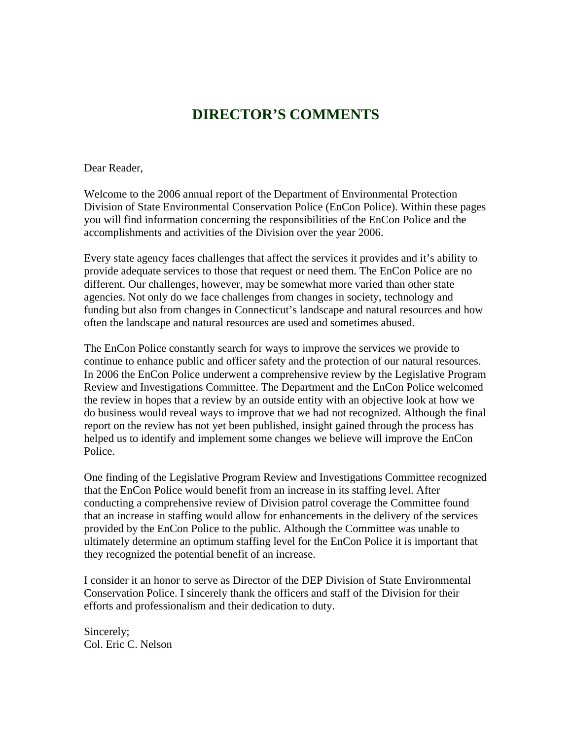# **DIRECTOR'S COMMENTS**

Dear Reader,

Welcome to the 2006 annual report of the Department of Environmental Protection Division of State Environmental Conservation Police (EnCon Police). Within these pages you will find information concerning the responsibilities of the EnCon Police and the accomplishments and activities of the Division over the year 2006.

Every state agency faces challenges that affect the services it provides and it's ability to provide adequate services to those that request or need them. The EnCon Police are no different. Our challenges, however, may be somewhat more varied than other state agencies. Not only do we face challenges from changes in society, technology and funding but also from changes in Connecticut's landscape and natural resources and how often the landscape and natural resources are used and sometimes abused.

The EnCon Police constantly search for ways to improve the services we provide to continue to enhance public and officer safety and the protection of our natural resources. In 2006 the EnCon Police underwent a comprehensive review by the Legislative Program Review and Investigations Committee. The Department and the EnCon Police welcomed the review in hopes that a review by an outside entity with an objective look at how we do business would reveal ways to improve that we had not recognized. Although the final report on the review has not yet been published, insight gained through the process has helped us to identify and implement some changes we believe will improve the EnCon Police.

One finding of the Legislative Program Review and Investigations Committee recognized that the EnCon Police would benefit from an increase in its staffing level. After conducting a comprehensive review of Division patrol coverage the Committee found that an increase in staffing would allow for enhancements in the delivery of the services provided by the EnCon Police to the public. Although the Committee was unable to ultimately determine an optimum staffing level for the EnCon Police it is important that they recognized the potential benefit of an increase.

I consider it an honor to serve as Director of the DEP Division of State Environmental Conservation Police. I sincerely thank the officers and staff of the Division for their efforts and professionalism and their dedication to duty.

Sincerely; Col. Eric C. Nelson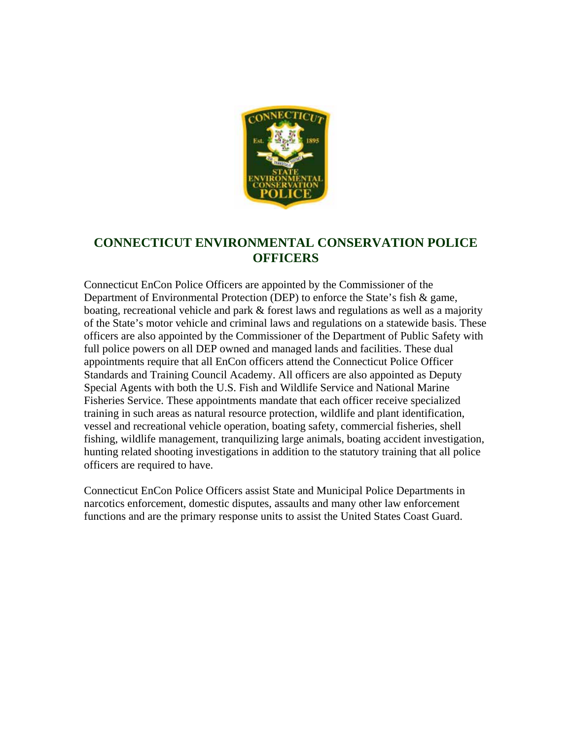

#### **CONNECTICUT ENVIRONMENTAL CONSERVATION POLICE OFFICERS**

Connecticut EnCon Police Officers are appointed by the Commissioner of the Department of Environmental Protection (DEP) to enforce the State's fish & game, boating, recreational vehicle and park & forest laws and regulations as well as a majority of the State's motor vehicle and criminal laws and regulations on a statewide basis. These officers are also appointed by the Commissioner of the Department of Public Safety with full police powers on all DEP owned and managed lands and facilities. These dual appointments require that all EnCon officers attend the Connecticut Police Officer Standards and Training Council Academy. All officers are also appointed as Deputy Special Agents with both the U.S. Fish and Wildlife Service and National Marine Fisheries Service. These appointments mandate that each officer receive specialized training in such areas as natural resource protection, wildlife and plant identification, vessel and recreational vehicle operation, boating safety, commercial fisheries, shell fishing, wildlife management, tranquilizing large animals, boating accident investigation, hunting related shooting investigations in addition to the statutory training that all police officers are required to have.

Connecticut EnCon Police Officers assist State and Municipal Police Departments in narcotics enforcement, domestic disputes, assaults and many other law enforcement functions and are the primary response units to assist the United States Coast Guard.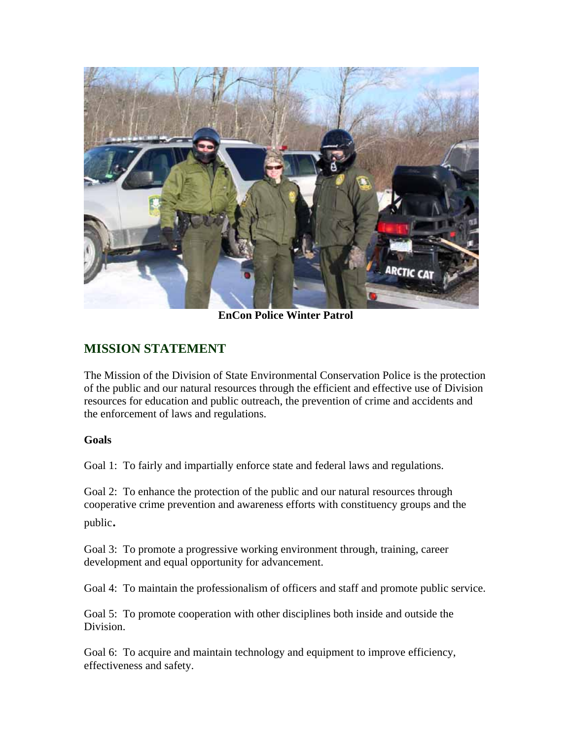

**EnCon Police Winter Patrol**

## **MISSION STATEMENT**

The Mission of the Division of State Environmental Conservation Police is the protection of the public and our natural resources through the efficient and effective use of Division resources for education and public outreach, the prevention of crime and accidents and the enforcement of laws and regulations.

#### **Goals**

Goal 1: To fairly and impartially enforce state and federal laws and regulations.

Goal 2: To enhance the protection of the public and our natural resources through cooperative crime prevention and awareness efforts with constituency groups and the public.

Goal 3: To promote a progressive working environment through, training, career development and equal opportunity for advancement.

Goal 4: To maintain the professionalism of officers and staff and promote public service.

Goal 5: To promote cooperation with other disciplines both inside and outside the Division.

Goal 6: To acquire and maintain technology and equipment to improve efficiency, effectiveness and safety.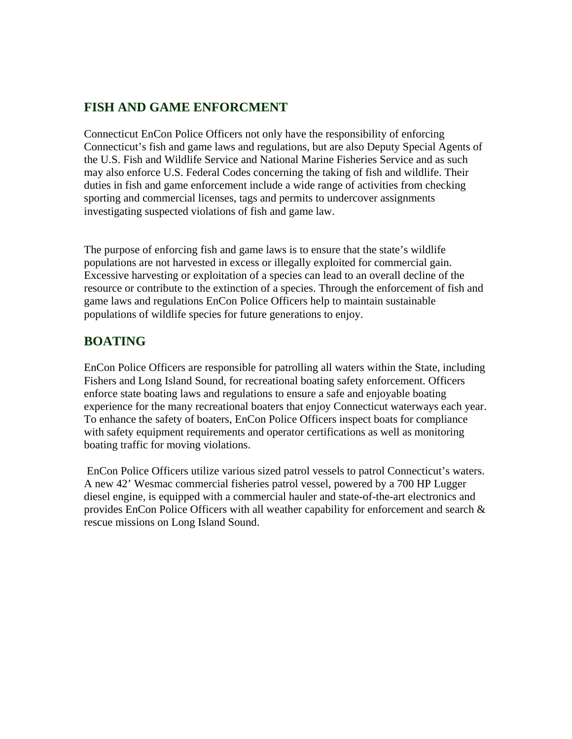#### **FISH AND GAME ENFORCMENT**

Connecticut EnCon Police Officers not only have the responsibility of enforcing Connecticut's fish and game laws and regulations, but are also Deputy Special Agents of the U.S. Fish and Wildlife Service and National Marine Fisheries Service and as such may also enforce U.S. Federal Codes concerning the taking of fish and wildlife. Their duties in fish and game enforcement include a wide range of activities from checking sporting and commercial licenses, tags and permits to undercover assignments investigating suspected violations of fish and game law.

The purpose of enforcing fish and game laws is to ensure that the state's wildlife populations are not harvested in excess or illegally exploited for commercial gain. Excessive harvesting or exploitation of a species can lead to an overall decline of the resource or contribute to the extinction of a species. Through the enforcement of fish and game laws and regulations EnCon Police Officers help to maintain sustainable populations of wildlife species for future generations to enjoy.

#### **BOATING**

EnCon Police Officers are responsible for patrolling all waters within the State, including Fishers and Long Island Sound, for recreational boating safety enforcement. Officers enforce state boating laws and regulations to ensure a safe and enjoyable boating experience for the many recreational boaters that enjoy Connecticut waterways each year. To enhance the safety of boaters, EnCon Police Officers inspect boats for compliance with safety equipment requirements and operator certifications as well as monitoring boating traffic for moving violations.

 EnCon Police Officers utilize various sized patrol vessels to patrol Connecticut's waters. A new 42' Wesmac commercial fisheries patrol vessel, powered by a 700 HP Lugger diesel engine, is equipped with a commercial hauler and state-of-the-art electronics and provides EnCon Police Officers with all weather capability for enforcement and search & rescue missions on Long Island Sound.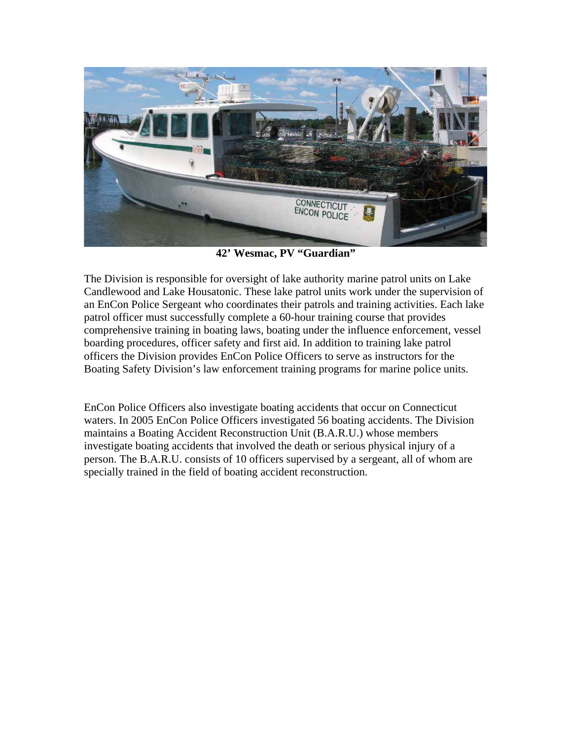

**42' Wesmac, PV "Guardian"** 

The Division is responsible for oversight of lake authority marine patrol units on Lake Candlewood and Lake Housatonic. These lake patrol units work under the supervision of an EnCon Police Sergeant who coordinates their patrols and training activities. Each lake patrol officer must successfully complete a 60-hour training course that provides comprehensive training in boating laws, boating under the influence enforcement, vessel boarding procedures, officer safety and first aid. In addition to training lake patrol officers the Division provides EnCon Police Officers to serve as instructors for the Boating Safety Division's law enforcement training programs for marine police units.

EnCon Police Officers also investigate boating accidents that occur on Connecticut waters. In 2005 EnCon Police Officers investigated 56 boating accidents. The Division maintains a Boating Accident Reconstruction Unit (B.A.R.U.) whose members investigate boating accidents that involved the death or serious physical injury of a person. The B.A.R.U. consists of 10 officers supervised by a sergeant, all of whom are specially trained in the field of boating accident reconstruction.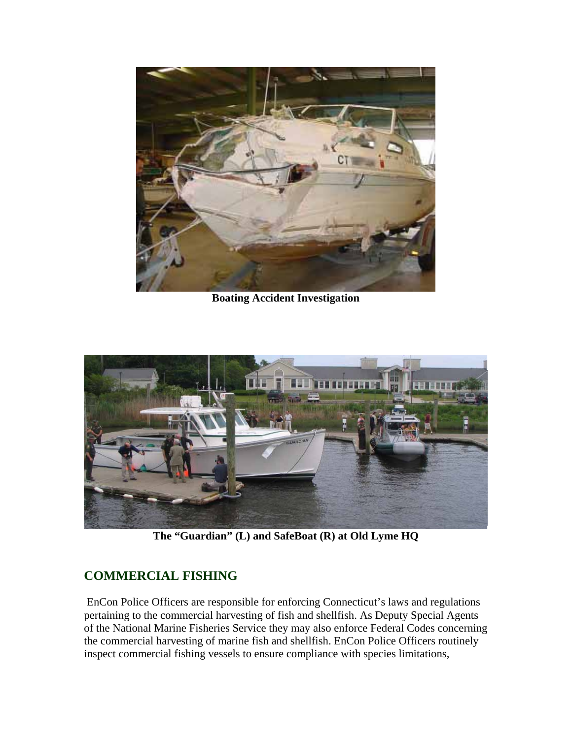

**Boating Accident Investigation** 



**The "Guardian" (L) and SafeBoat (R) at Old Lyme HQ** 

## **COMMERCIAL FISHING**

 EnCon Police Officers are responsible for enforcing Connecticut's laws and regulations pertaining to the commercial harvesting of fish and shellfish. As Deputy Special Agents of the National Marine Fisheries Service they may also enforce Federal Codes concerning the commercial harvesting of marine fish and shellfish. EnCon Police Officers routinely inspect commercial fishing vessels to ensure compliance with species limitations,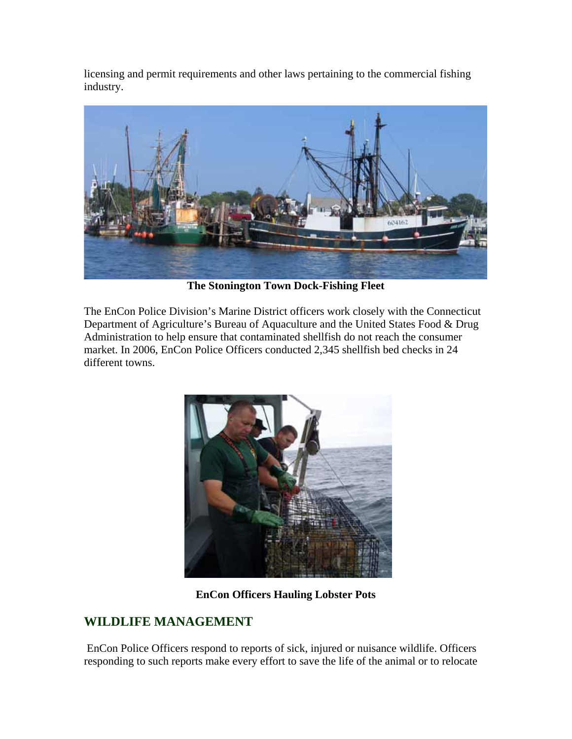licensing and permit requirements and other laws pertaining to the commercial fishing industry.



**The Stonington Town Dock-Fishing Fleet** 

The EnCon Police Division's Marine District officers work closely with the Connecticut Department of Agriculture's Bureau of Aquaculture and the United States Food & Drug Administration to help ensure that contaminated shellfish do not reach the consumer market. In 2006, EnCon Police Officers conducted 2,345 shellfish bed checks in 24 different towns.



**EnCon Officers Hauling Lobster Pots** 

## **WILDLIFE MANAGEMENT**

 EnCon Police Officers respond to reports of sick, injured or nuisance wildlife. Officers responding to such reports make every effort to save the life of the animal or to relocate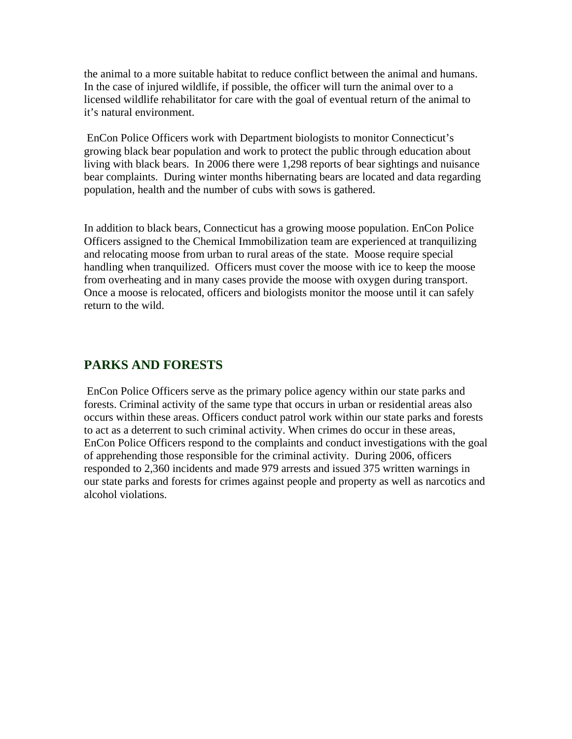the animal to a more suitable habitat to reduce conflict between the animal and humans. In the case of injured wildlife, if possible, the officer will turn the animal over to a licensed wildlife rehabilitator for care with the goal of eventual return of the animal to it's natural environment.

 EnCon Police Officers work with Department biologists to monitor Connecticut's growing black bear population and work to protect the public through education about living with black bears. In 2006 there were 1,298 reports of bear sightings and nuisance bear complaints. During winter months hibernating bears are located and data regarding population, health and the number of cubs with sows is gathered.

In addition to black bears, Connecticut has a growing moose population. EnCon Police Officers assigned to the Chemical Immobilization team are experienced at tranquilizing and relocating moose from urban to rural areas of the state. Moose require special handling when tranquilized. Officers must cover the moose with ice to keep the moose from overheating and in many cases provide the moose with oxygen during transport. Once a moose is relocated, officers and biologists monitor the moose until it can safely return to the wild.

#### **PARKS AND FORESTS**

 EnCon Police Officers serve as the primary police agency within our state parks and forests. Criminal activity of the same type that occurs in urban or residential areas also occurs within these areas. Officers conduct patrol work within our state parks and forests to act as a deterrent to such criminal activity. When crimes do occur in these areas, EnCon Police Officers respond to the complaints and conduct investigations with the goal of apprehending those responsible for the criminal activity. During 2006, officers responded to 2,360 incidents and made 979 arrests and issued 375 written warnings in our state parks and forests for crimes against people and property as well as narcotics and alcohol violations.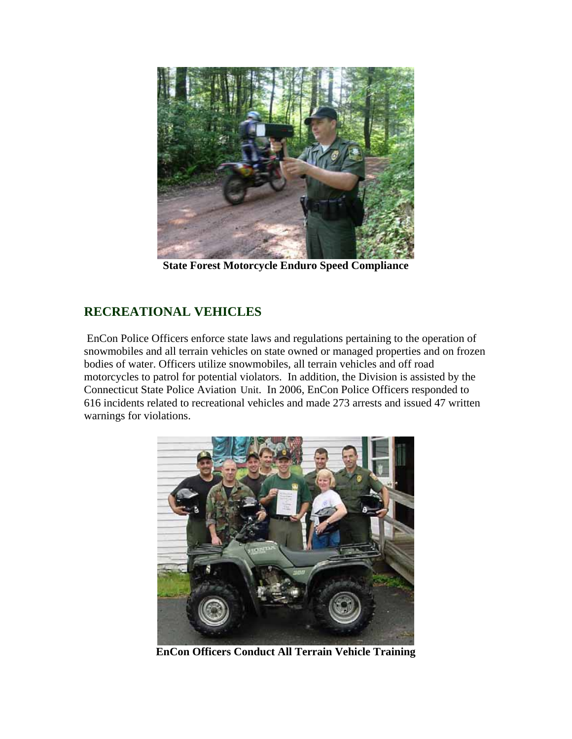

**State Forest Motorcycle Enduro Speed Compliance** 

## **RECREATIONAL VEHICLES**

EnCon Police Officers enforce state laws and regulations pertaining to the operation of snowmobiles and all terrain vehicles on state owned or managed properties and on frozen bodies of water. Officers utilize snowmobiles, all terrain vehicles and off road motorcycles to patrol for potential violators. In addition, the Division is assisted by the Connecticut State Police Aviation Unit. In 2006, EnCon Police Officers responded to 616 incidents related to recreational vehicles and made 273 arrests and issued 47 written warnings for violations.



**EnCon Officers Conduct All Terrain Vehicle Training**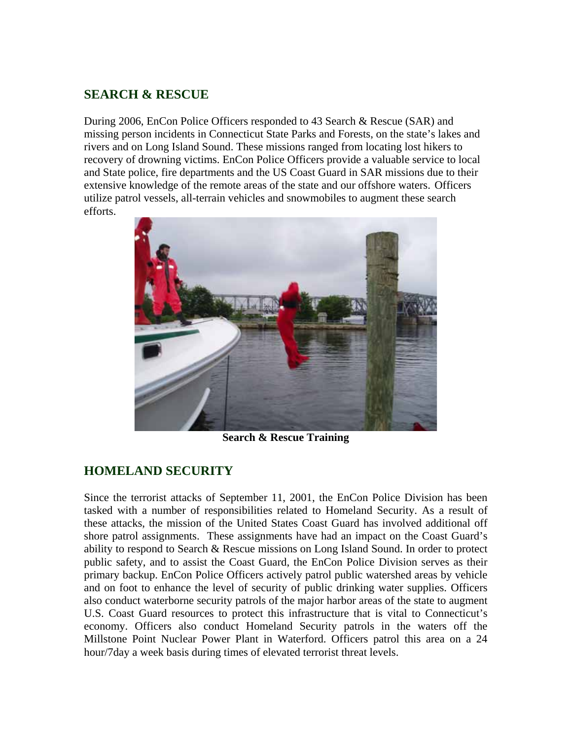#### **SEARCH & RESCUE**

During 2006, EnCon Police Officers responded to 43 Search & Rescue (SAR) and missing person incidents in Connecticut State Parks and Forests, on the state's lakes and rivers and on Long Island Sound. These missions ranged from locating lost hikers to recovery of drowning victims. EnCon Police Officers provide a valuable service to local and State police, fire departments and the US Coast Guard in SAR missions due to their extensive knowledge of the remote areas of the state and our offshore waters. Officers utilize patrol vessels, all-terrain vehicles and snowmobiles to augment these search efforts.



**Search & Rescue Training** 

## **HOMELAND SECURITY**

Since the terrorist attacks of September 11, 2001, the EnCon Police Division has been tasked with a number of responsibilities related to Homeland Security. As a result of these attacks, the mission of the United States Coast Guard has involved additional off shore patrol assignments. These assignments have had an impact on the Coast Guard's ability to respond to Search & Rescue missions on Long Island Sound. In order to protect public safety, and to assist the Coast Guard, the EnCon Police Division serves as their primary backup. EnCon Police Officers actively patrol public watershed areas by vehicle and on foot to enhance the level of security of public drinking water supplies. Officers also conduct waterborne security patrols of the major harbor areas of the state to augment U.S. Coast Guard resources to protect this infrastructure that is vital to Connecticut's economy. Officers also conduct Homeland Security patrols in the waters off the Millstone Point Nuclear Power Plant in Waterford. Officers patrol this area on a 24 hour/7day a week basis during times of elevated terrorist threat levels.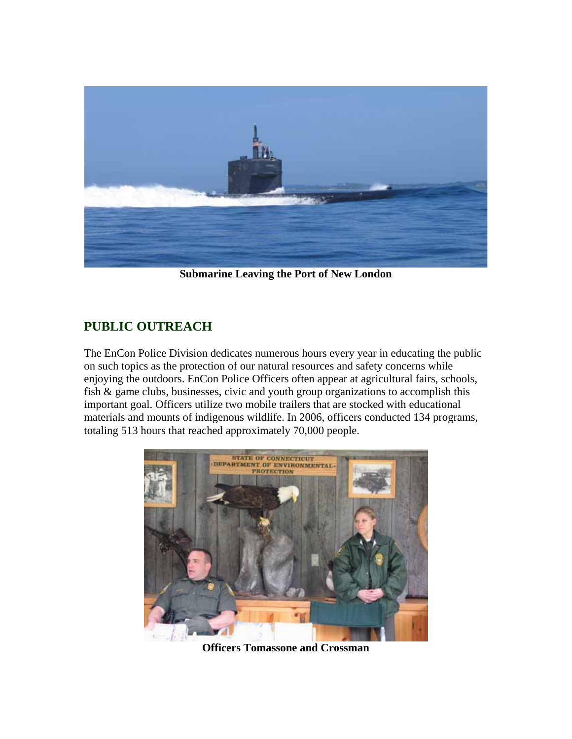

**Submarine Leaving the Port of New London** 

## **PUBLIC OUTREACH**

The EnCon Police Division dedicates numerous hours every year in educating the public on such topics as the protection of our natural resources and safety concerns while enjoying the outdoors. EnCon Police Officers often appear at agricultural fairs, schools, fish & game clubs, businesses, civic and youth group organizations to accomplish this important goal. Officers utilize two mobile trailers that are stocked with educational materials and mounts of indigenous wildlife. In 2006, officers conducted 134 programs, totaling 513 hours that reached approximately 70,000 people.



**Officers Tomassone and Crossman**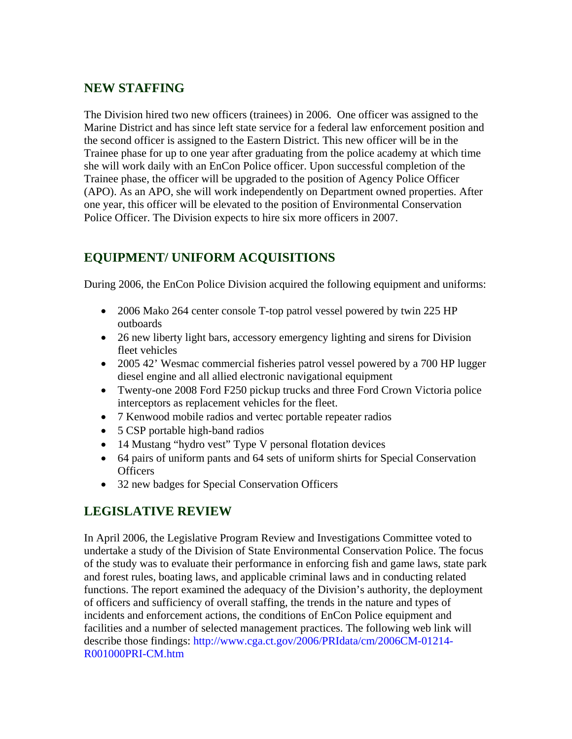#### **NEW STAFFING**

The Division hired two new officers (trainees) in 2006. One officer was assigned to the Marine District and has since left state service for a federal law enforcement position and the second officer is assigned to the Eastern District. This new officer will be in the Trainee phase for up to one year after graduating from the police academy at which time she will work daily with an EnCon Police officer. Upon successful completion of the Trainee phase, the officer will be upgraded to the position of Agency Police Officer (APO). As an APO, she will work independently on Department owned properties. After one year, this officer will be elevated to the position of Environmental Conservation Police Officer. The Division expects to hire six more officers in 2007.

## **EQUIPMENT/ UNIFORM ACQUISITIONS**

During 2006, the EnCon Police Division acquired the following equipment and uniforms:

- 2006 Mako 264 center console T-top patrol vessel powered by twin 225 HP outboards
- 26 new liberty light bars, accessory emergency lighting and sirens for Division fleet vehicles
- 2005 42' Wesmac commercial fisheries patrol vessel powered by a 700 HP lugger diesel engine and all allied electronic navigational equipment
- Twenty-one 2008 Ford F250 pickup trucks and three Ford Crown Victoria police interceptors as replacement vehicles for the fleet.
- 7 Kenwood mobile radios and vertec portable repeater radios
- 5 CSP portable high-band radios
- 14 Mustang "hydro vest" Type V personal flotation devices
- 64 pairs of uniform pants and 64 sets of uniform shirts for Special Conservation **Officers**
- 32 new badges for Special Conservation Officers

## **LEGISLATIVE REVIEW**

In April 2006, the Legislative Program Review and Investigations Committee voted to undertake a study of the Division of State Environmental Conservation Police. The focus of the study was to evaluate their performance in enforcing fish and game laws, state park and forest rules, boating laws, and applicable criminal laws and in conducting related functions. The report examined the adequacy of the Division's authority, the deployment of officers and sufficiency of overall staffing, the trends in the nature and types of incidents and enforcement actions, the conditions of EnCon Police equipment and facilities and a number of selected management practices. The following web link will describe those findings: [http://www.cga.ct.gov/2006/PRIdata/cm/2006CM-01214-](http://www.cga.ct.gov/2006/PRIdata/cm/2006CM-01214-R001000PRI-CM.htm) [R001000PRI-CM.htm](http://www.cga.ct.gov/2006/PRIdata/cm/2006CM-01214-R001000PRI-CM.htm)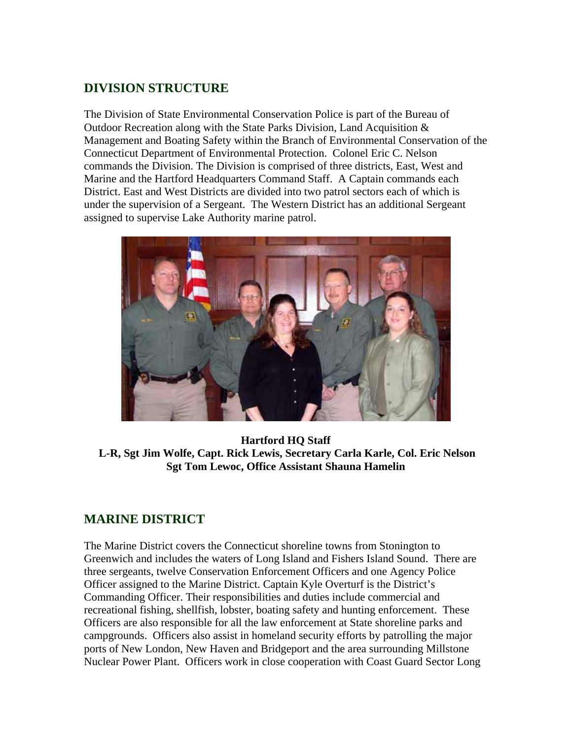## **DIVISION STRUCTURE**

The Division of State Environmental Conservation Police is part of the Bureau of Outdoor Recreation along with the State Parks Division, Land Acquisition & Management and Boating Safety within the Branch of Environmental Conservation of the Connecticut Department of Environmental Protection. Colonel Eric C. Nelson commands the Division. The Division is comprised of three districts, East, West and Marine and the Hartford Headquarters Command Staff. A Captain commands each District. East and West Districts are divided into two patrol sectors each of which is under the supervision of a Sergeant. The Western District has an additional Sergeant assigned to supervise Lake Authority marine patrol.



**Hartford HQ Staff L-R, Sgt Jim Wolfe, Capt. Rick Lewis, Secretary Carla Karle, Col. Eric Nelson Sgt Tom Lewoc, Office Assistant Shauna Hamelin**

#### **MARINE DISTRICT**

The Marine District covers the Connecticut shoreline towns from Stonington to Greenwich and includes the waters of Long Island and Fishers Island Sound. There are three sergeants, twelve Conservation Enforcement Officers and one Agency Police Officer assigned to the Marine District. Captain Kyle Overturf is the District's Commanding Officer. Their responsibilities and duties include commercial and recreational fishing, shellfish, lobster, boating safety and hunting enforcement. These Officers are also responsible for all the law enforcement at State shoreline parks and campgrounds. Officers also assist in homeland security efforts by patrolling the major ports of New London, New Haven and Bridgeport and the area surrounding Millstone Nuclear Power Plant. Officers work in close cooperation with Coast Guard Sector Long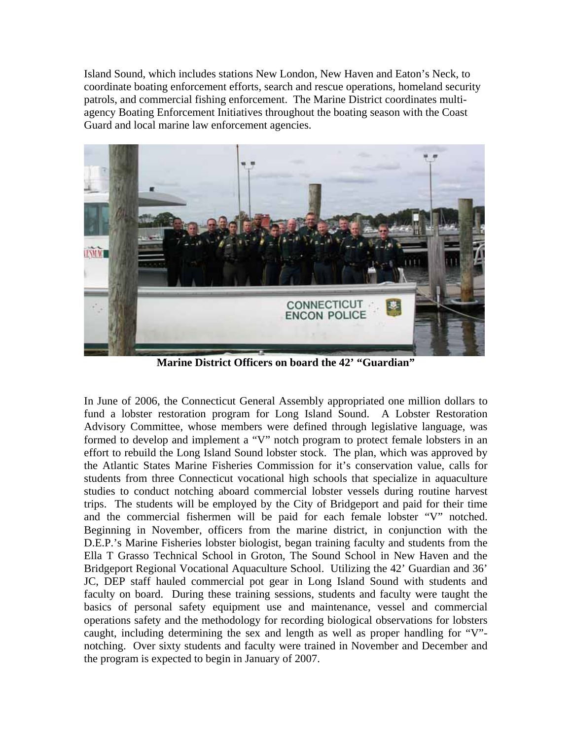Island Sound, which includes stations New London, New Haven and Eaton's Neck, to coordinate boating enforcement efforts, search and rescue operations, homeland security patrols, and commercial fishing enforcement. The Marine District coordinates multiagency Boating Enforcement Initiatives throughout the boating season with the Coast Guard and local marine law enforcement agencies.



**Marine District Officers on board the 42' "Guardian"** 

In June of 2006, the Connecticut General Assembly appropriated one million dollars to fund a lobster restoration program for Long Island Sound. A Lobster Restoration Advisory Committee, whose members were defined through legislative language, was formed to develop and implement a "V" notch program to protect female lobsters in an effort to rebuild the Long Island Sound lobster stock. The plan, which was approved by the Atlantic States Marine Fisheries Commission for it's conservation value, calls for students from three Connecticut vocational high schools that specialize in aquaculture studies to conduct notching aboard commercial lobster vessels during routine harvest trips. The students will be employed by the City of Bridgeport and paid for their time and the commercial fishermen will be paid for each female lobster "V" notched. Beginning in November, officers from the marine district, in conjunction with the D.E.P.'s Marine Fisheries lobster biologist, began training faculty and students from the Ella T Grasso Technical School in Groton, The Sound School in New Haven and the Bridgeport Regional Vocational Aquaculture School. Utilizing the 42' Guardian and 36' JC, DEP staff hauled commercial pot gear in Long Island Sound with students and faculty on board. During these training sessions, students and faculty were taught the basics of personal safety equipment use and maintenance, vessel and commercial operations safety and the methodology for recording biological observations for lobsters caught, including determining the sex and length as well as proper handling for "V" notching. Over sixty students and faculty were trained in November and December and the program is expected to begin in January of 2007.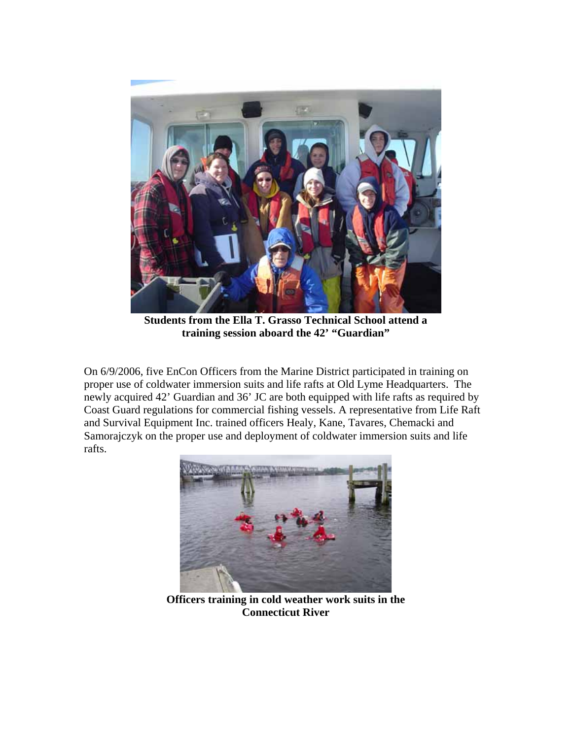

**Students from the Ella T. Grasso Technical School attend a training session aboard the 42' "Guardian"** 

On 6/9/2006, five EnCon Officers from the Marine District participated in training on proper use of coldwater immersion suits and life rafts at Old Lyme Headquarters. The newly acquired 42' Guardian and 36' JC are both equipped with life rafts as required by Coast Guard regulations for commercial fishing vessels. A representative from Life Raft and Survival Equipment Inc. trained officers Healy, Kane, Tavares, Chemacki and Samorajczyk on the proper use and deployment of coldwater immersion suits and life rafts.



**Officers training in cold weather work suits in the Connecticut River**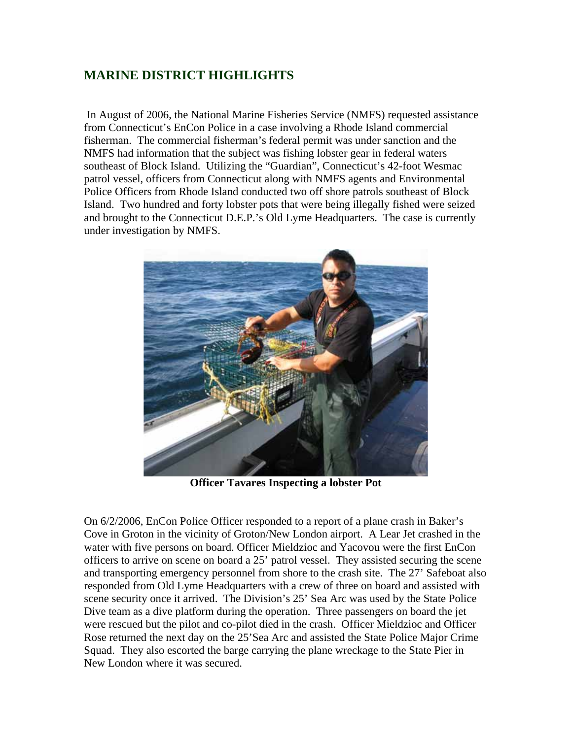## **MARINE DISTRICT HIGHLIGHTS**

 In August of 2006, the National Marine Fisheries Service (NMFS) requested assistance from Connecticut's EnCon Police in a case involving a Rhode Island commercial fisherman. The commercial fisherman's federal permit was under sanction and the NMFS had information that the subject was fishing lobster gear in federal waters southeast of Block Island. Utilizing the "Guardian", Connecticut's 42-foot Wesmac patrol vessel, officers from Connecticut along with NMFS agents and Environmental Police Officers from Rhode Island conducted two off shore patrols southeast of Block Island. Two hundred and forty lobster pots that were being illegally fished were seized and brought to the Connecticut D.E.P.'s Old Lyme Headquarters. The case is currently under investigation by NMFS.



**Officer Tavares Inspecting a lobster Pot** 

On 6/2/2006, EnCon Police Officer responded to a report of a plane crash in Baker's Cove in Groton in the vicinity of Groton/New London airport. A Lear Jet crashed in the water with five persons on board. Officer Mieldzioc and Yacovou were the first EnCon officers to arrive on scene on board a 25' patrol vessel. They assisted securing the scene and transporting emergency personnel from shore to the crash site. The 27' Safeboat also responded from Old Lyme Headquarters with a crew of three on board and assisted with scene security once it arrived. The Division's 25' Sea Arc was used by the State Police Dive team as a dive platform during the operation. Three passengers on board the jet were rescued but the pilot and co-pilot died in the crash. Officer Mieldzioc and Officer Rose returned the next day on the 25'Sea Arc and assisted the State Police Major Crime Squad. They also escorted the barge carrying the plane wreckage to the State Pier in New London where it was secured.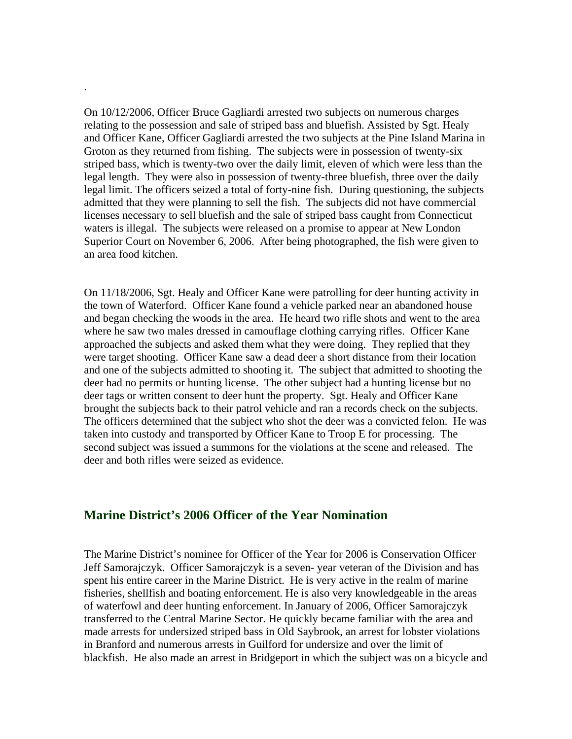On 10/12/2006, Officer Bruce Gagliardi arrested two subjects on numerous charges relating to the possession and sale of striped bass and bluefish. Assisted by Sgt. Healy and Officer Kane, Officer Gagliardi arrested the two subjects at the Pine Island Marina in Groton as they returned from fishing. The subjects were in possession of twenty-six striped bass, which is twenty-two over the daily limit, eleven of which were less than the legal length. They were also in possession of twenty-three bluefish, three over the daily legal limit. The officers seized a total of forty-nine fish. During questioning, the subjects admitted that they were planning to sell the fish. The subjects did not have commercial licenses necessary to sell bluefish and the sale of striped bass caught from Connecticut waters is illegal. The subjects were released on a promise to appear at New London Superior Court on November 6, 2006. After being photographed, the fish were given to an area food kitchen.

.

On 11/18/2006, Sgt. Healy and Officer Kane were patrolling for deer hunting activity in the town of Waterford. Officer Kane found a vehicle parked near an abandoned house and began checking the woods in the area. He heard two rifle shots and went to the area where he saw two males dressed in camouflage clothing carrying rifles. Officer Kane approached the subjects and asked them what they were doing. They replied that they were target shooting. Officer Kane saw a dead deer a short distance from their location and one of the subjects admitted to shooting it. The subject that admitted to shooting the deer had no permits or hunting license. The other subject had a hunting license but no deer tags or written consent to deer hunt the property. Sgt. Healy and Officer Kane brought the subjects back to their patrol vehicle and ran a records check on the subjects. The officers determined that the subject who shot the deer was a convicted felon. He was taken into custody and transported by Officer Kane to Troop E for processing. The second subject was issued a summons for the violations at the scene and released. The deer and both rifles were seized as evidence.

#### **Marine District's 2006 Officer of the Year Nomination**

The Marine District's nominee for Officer of the Year for 2006 is Conservation Officer Jeff Samorajczyk. Officer Samorajczyk is a seven- year veteran of the Division and has spent his entire career in the Marine District. He is very active in the realm of marine fisheries, shellfish and boating enforcement. He is also very knowledgeable in the areas of waterfowl and deer hunting enforcement. In January of 2006, Officer Samorajczyk transferred to the Central Marine Sector. He quickly became familiar with the area and made arrests for undersized striped bass in Old Saybrook, an arrest for lobster violations in Branford and numerous arrests in Guilford for undersize and over the limit of blackfish. He also made an arrest in Bridgeport in which the subject was on a bicycle and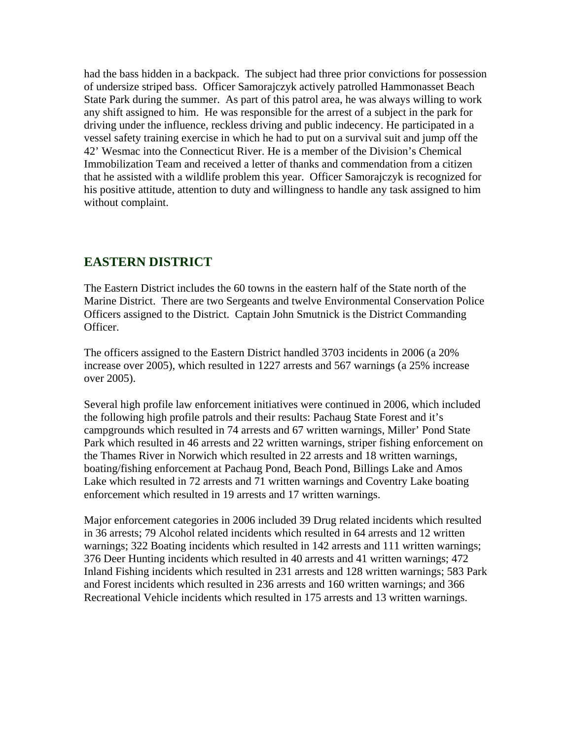had the bass hidden in a backpack. The subject had three prior convictions for possession of undersize striped bass. Officer Samorajczyk actively patrolled Hammonasset Beach State Park during the summer. As part of this patrol area, he was always willing to work any shift assigned to him. He was responsible for the arrest of a subject in the park for driving under the influence, reckless driving and public indecency. He participated in a vessel safety training exercise in which he had to put on a survival suit and jump off the 42' Wesmac into the Connecticut River. He is a member of the Division's Chemical Immobilization Team and received a letter of thanks and commendation from a citizen that he assisted with a wildlife problem this year. Officer Samorajczyk is recognized for his positive attitude, attention to duty and willingness to handle any task assigned to him without complaint.

#### **EASTERN DISTRICT**

The Eastern District includes the 60 towns in the eastern half of the State north of the Marine District. There are two Sergeants and twelve Environmental Conservation Police Officers assigned to the District. Captain John Smutnick is the District Commanding Officer.

The officers assigned to the Eastern District handled 3703 incidents in 2006 (a 20% increase over 2005), which resulted in 1227 arrests and 567 warnings (a 25% increase over 2005).

Several high profile law enforcement initiatives were continued in 2006, which included the following high profile patrols and their results: Pachaug State Forest and it's campgrounds which resulted in 74 arrests and 67 written warnings, Miller' Pond State Park which resulted in 46 arrests and 22 written warnings, striper fishing enforcement on the Thames River in Norwich which resulted in 22 arrests and 18 written warnings, boating/fishing enforcement at Pachaug Pond, Beach Pond, Billings Lake and Amos Lake which resulted in 72 arrests and 71 written warnings and Coventry Lake boating enforcement which resulted in 19 arrests and 17 written warnings.

Major enforcement categories in 2006 included 39 Drug related incidents which resulted in 36 arrests; 79 Alcohol related incidents which resulted in 64 arrests and 12 written warnings; 322 Boating incidents which resulted in 142 arrests and 111 written warnings; 376 Deer Hunting incidents which resulted in 40 arrests and 41 written warnings; 472 Inland Fishing incidents which resulted in 231 arrests and 128 written warnings; 583 Park and Forest incidents which resulted in 236 arrests and 160 written warnings; and 366 Recreational Vehicle incidents which resulted in 175 arrests and 13 written warnings.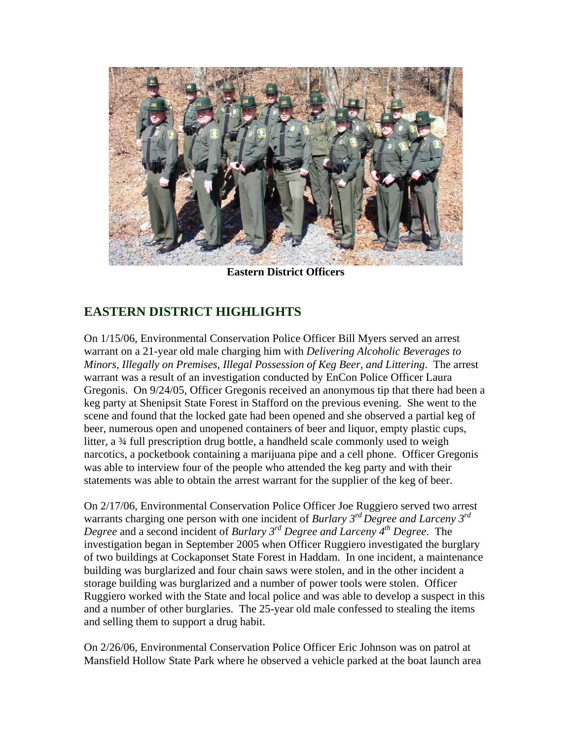

**Eastern District Officers** 

## **EASTERN DISTRICT HIGHLIGHTS**

On 1/15/06, Environmental Conservation Police Officer Bill Myers served an arrest warrant on a 21-year old male charging him with *Delivering Alcoholic Beverages to Minors, Illegally on Premises, Illegal Possession of Keg Beer, and Littering*. The arrest warrant was a result of an investigation conducted by EnCon Police Officer Laura Gregonis. On 9/24/05, Officer Gregonis received an anonymous tip that there had been a keg party at Shenipsit State Forest in Stafford on the previous evening. She went to the scene and found that the locked gate had been opened and she observed a partial keg of beer, numerous open and unopened containers of beer and liquor, empty plastic cups, litter, a 34 full prescription drug bottle, a handheld scale commonly used to weigh narcotics, a pocketbook containing a marijuana pipe and a cell phone. Officer Gregonis was able to interview four of the people who attended the keg party and with their statements was able to obtain the arrest warrant for the supplier of the keg of beer.

On 2/17/06, Environmental Conservation Police Officer Joe Ruggiero served two arrest warrants charging one person with one incident of *Burlary 3rd Degree and Larceny 3rd Degree* and a second incident of *Burlary 3rd Degree and Larceny 4th Degree*. The investigation began in September 2005 when Officer Ruggiero investigated the burglary of two buildings at Cockaponset State Forest in Haddam. In one incident, a maintenance building was burglarized and four chain saws were stolen, and in the other incident a storage building was burglarized and a number of power tools were stolen. Officer Ruggiero worked with the State and local police and was able to develop a suspect in this and a number of other burglaries. The 25-year old male confessed to stealing the items and selling them to support a drug habit.

On 2/26/06, Environmental Conservation Police Officer Eric Johnson was on patrol at Mansfield Hollow State Park where he observed a vehicle parked at the boat launch area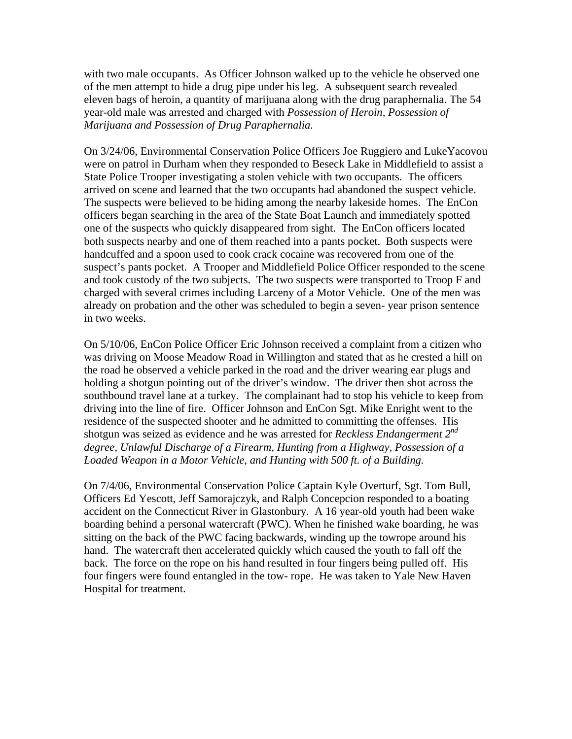with two male occupants. As Officer Johnson walked up to the vehicle he observed one of the men attempt to hide a drug pipe under his leg. A subsequent search revealed eleven bags of heroin, a quantity of marijuana along with the drug paraphernalia. The 54 year-old male was arrested and charged with *Possession of Heroin, Possession of Marijuana and Possession of Drug Paraphernalia.*

On 3/24/06, Environmental Conservation Police Officers Joe Ruggiero and LukeYacovou were on patrol in Durham when they responded to Beseck Lake in Middlefield to assist a State Police Trooper investigating a stolen vehicle with two occupants. The officers arrived on scene and learned that the two occupants had abandoned the suspect vehicle. The suspects were believed to be hiding among the nearby lakeside homes. The EnCon officers began searching in the area of the State Boat Launch and immediately spotted one of the suspects who quickly disappeared from sight. The EnCon officers located both suspects nearby and one of them reached into a pants pocket. Both suspects were handcuffed and a spoon used to cook crack cocaine was recovered from one of the suspect's pants pocket. A Trooper and Middlefield Police Officer responded to the scene and took custody of the two subjects. The two suspects were transported to Troop F and charged with several crimes including Larceny of a Motor Vehicle. One of the men was already on probation and the other was scheduled to begin a seven- year prison sentence in two weeks.

On 5/10/06, EnCon Police Officer Eric Johnson received a complaint from a citizen who was driving on Moose Meadow Road in Willington and stated that as he crested a hill on the road he observed a vehicle parked in the road and the driver wearing ear plugs and holding a shotgun pointing out of the driver's window. The driver then shot across the southbound travel lane at a turkey. The complainant had to stop his vehicle to keep from driving into the line of fire. Officer Johnson and EnCon Sgt. Mike Enright went to the residence of the suspected shooter and he admitted to committing the offenses. His shotgun was seized as evidence and he was arrested for *Reckless Endangerment 2nd degree, Unlawful Discharge of a Firearm, Hunting from a Highway, Possession of a Loaded Weapon in a Motor Vehicle, and Hunting with 500 ft. of a Building.* 

On 7/4/06, Environmental Conservation Police Captain Kyle Overturf, Sgt. Tom Bull, Officers Ed Yescott, Jeff Samorajczyk, and Ralph Concepcion responded to a boating accident on the Connecticut River in Glastonbury. A 16 year-old youth had been wake boarding behind a personal watercraft (PWC). When he finished wake boarding, he was sitting on the back of the PWC facing backwards, winding up the towrope around his hand. The watercraft then accelerated quickly which caused the youth to fall off the back. The force on the rope on his hand resulted in four fingers being pulled off. His four fingers were found entangled in the tow- rope. He was taken to Yale New Haven Hospital for treatment.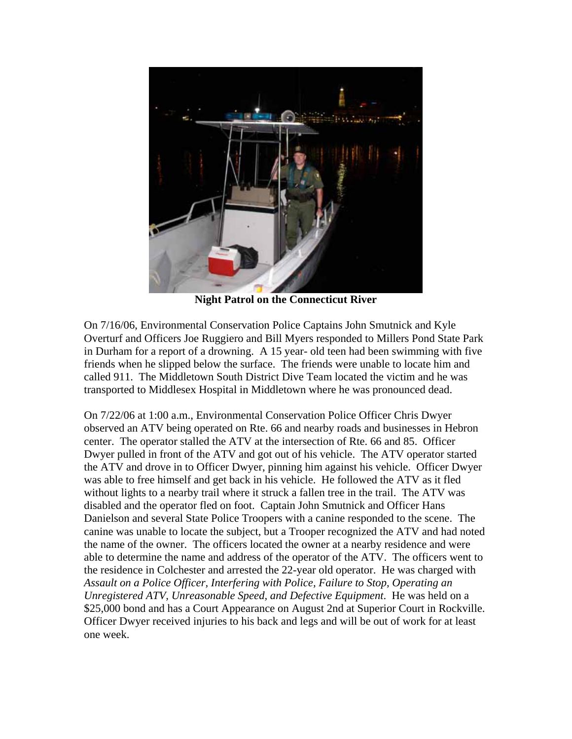

**Night Patrol on the Connecticut River** 

On 7/16/06, Environmental Conservation Police Captains John Smutnick and Kyle Overturf and Officers Joe Ruggiero and Bill Myers responded to Millers Pond State Park in Durham for a report of a drowning. A 15 year- old teen had been swimming with five friends when he slipped below the surface. The friends were unable to locate him and called 911. The Middletown South District Dive Team located the victim and he was transported to Middlesex Hospital in Middletown where he was pronounced dead.

On 7/22/06 at 1:00 a.m., Environmental Conservation Police Officer Chris Dwyer observed an ATV being operated on Rte. 66 and nearby roads and businesses in Hebron center. The operator stalled the ATV at the intersection of Rte. 66 and 85. Officer Dwyer pulled in front of the ATV and got out of his vehicle. The ATV operator started the ATV and drove in to Officer Dwyer, pinning him against his vehicle. Officer Dwyer was able to free himself and get back in his vehicle. He followed the ATV as it fled without lights to a nearby trail where it struck a fallen tree in the trail. The ATV was disabled and the operator fled on foot. Captain John Smutnick and Officer Hans Danielson and several State Police Troopers with a canine responded to the scene. The canine was unable to locate the subject, but a Trooper recognized the ATV and had noted the name of the owner. The officers located the owner at a nearby residence and were able to determine the name and address of the operator of the ATV. The officers went to the residence in Colchester and arrested the 22-year old operator. He was charged with *Assault on a Police Officer, Interfering with Police, Failure to Stop, Operating an Unregistered ATV, Unreasonable Speed, and Defective Equipment*. He was held on a \$25,000 bond and has a Court Appearance on August 2nd at Superior Court in Rockville. Officer Dwyer received injuries to his back and legs and will be out of work for at least one week.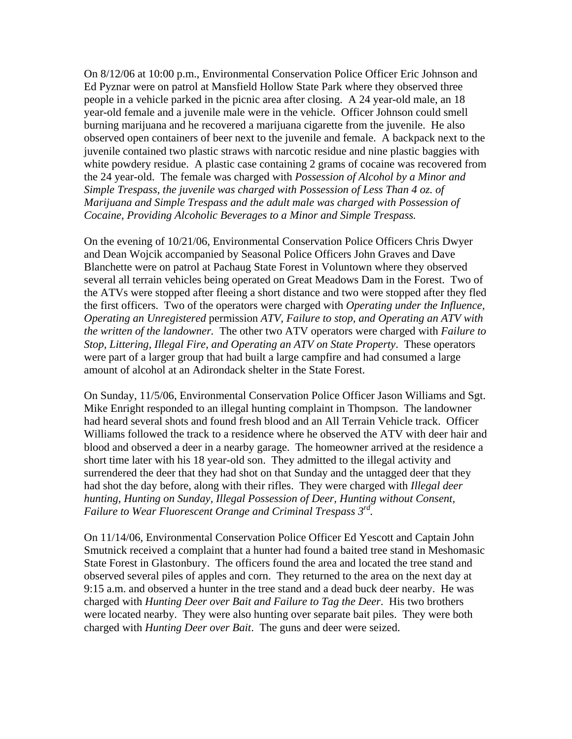On 8/12/06 at 10:00 p.m., Environmental Conservation Police Officer Eric Johnson and Ed Pyznar were on patrol at Mansfield Hollow State Park where they observed three people in a vehicle parked in the picnic area after closing. A 24 year-old male, an 18 year-old female and a juvenile male were in the vehicle. Officer Johnson could smell burning marijuana and he recovered a marijuana cigarette from the juvenile. He also observed open containers of beer next to the juvenile and female. A backpack next to the juvenile contained two plastic straws with narcotic residue and nine plastic baggies with white powdery residue. A plastic case containing 2 grams of cocaine was recovered from the 24 year-old. The female was charged with *Possession of Alcohol by a Minor and Simple Trespass, the juvenile was charged with Possession of Less Than 4 oz. of Marijuana and Simple Trespass and the adult male was charged with Possession of Cocaine, Providing Alcoholic Beverages to a Minor and Simple Trespass.* 

On the evening of 10/21/06, Environmental Conservation Police Officers Chris Dwyer and Dean Wojcik accompanied by Seasonal Police Officers John Graves and Dave Blanchette were on patrol at Pachaug State Forest in Voluntown where they observed several all terrain vehicles being operated on Great Meadows Dam in the Forest. Two of the ATVs were stopped after fleeing a short distance and two were stopped after they fled the first officers. Two of the operators were charged with *Operating under the Influence, Operating an Unregistered* permission *ATV, Failure to stop, and Operating an ATV with the written of the landowner.* The other two ATV operators were charged with *Failure to Stop, Littering, Illegal Fire, and Operating an ATV on State Property*. These operators were part of a larger group that had built a large campfire and had consumed a large amount of alcohol at an Adirondack shelter in the State Forest.

On Sunday, 11/5/06, Environmental Conservation Police Officer Jason Williams and Sgt. Mike Enright responded to an illegal hunting complaint in Thompson. The landowner had heard several shots and found fresh blood and an All Terrain Vehicle track. Officer Williams followed the track to a residence where he observed the ATV with deer hair and blood and observed a deer in a nearby garage. The homeowner arrived at the residence a short time later with his 18 year-old son. They admitted to the illegal activity and surrendered the deer that they had shot on that Sunday and the untagged deer that they had shot the day before, along with their rifles. They were charged with *Illegal deer hunting, Hunting on Sunday, Illegal Possession of Deer, Hunting without Consent, Failure to Wear Fluorescent Orange and Criminal Trespass 3rd.* 

On 11/14/06, Environmental Conservation Police Officer Ed Yescott and Captain John Smutnick received a complaint that a hunter had found a baited tree stand in Meshomasic State Forest in Glastonbury. The officers found the area and located the tree stand and observed several piles of apples and corn. They returned to the area on the next day at 9:15 a.m. and observed a hunter in the tree stand and a dead buck deer nearby. He was charged with *Hunting Deer over Bait and Failure to Tag the Deer*. His two brothers were located nearby. They were also hunting over separate bait piles. They were both charged with *Hunting Deer over Bait*. The guns and deer were seized.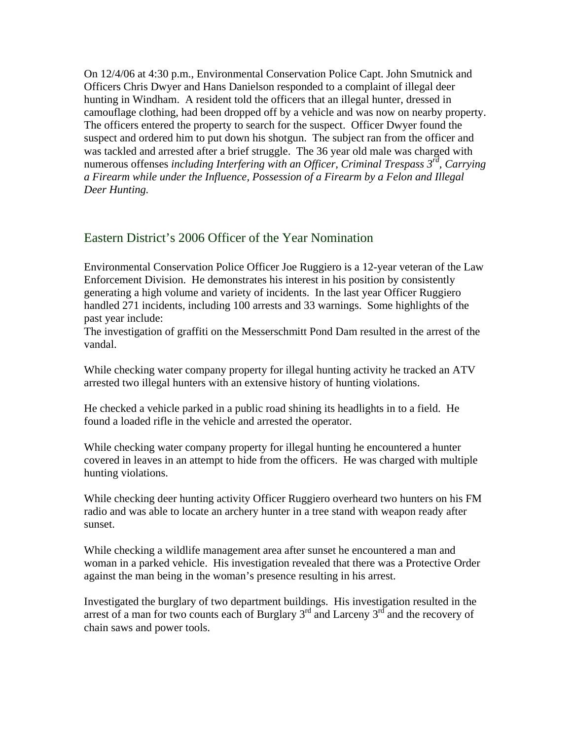On 12/4/06 at 4:30 p.m., Environmental Conservation Police Capt. John Smutnick and Officers Chris Dwyer and Hans Danielson responded to a complaint of illegal deer hunting in Windham. A resident told the officers that an illegal hunter, dressed in camouflage clothing, had been dropped off by a vehicle and was now on nearby property. The officers entered the property to search for the suspect. Officer Dwyer found the suspect and ordered him to put down his shotgun. The subject ran from the officer and was tackled and arrested after a brief struggle. The 36 year old male was charged with numerous offenses *including Interfering with an Officer, Criminal Trespass 3rd, Carrying a Firearm while under the Influence, Possession of a Firearm by a Felon and Illegal Deer Hunting.* 

#### Eastern District's 2006 Officer of the Year Nomination

Environmental Conservation Police Officer Joe Ruggiero is a 12-year veteran of the Law Enforcement Division. He demonstrates his interest in his position by consistently generating a high volume and variety of incidents. In the last year Officer Ruggiero handled 271 incidents, including 100 arrests and 33 warnings. Some highlights of the past year include:

The investigation of graffiti on the Messerschmitt Pond Dam resulted in the arrest of the vandal.

While checking water company property for illegal hunting activity he tracked an ATV arrested two illegal hunters with an extensive history of hunting violations.

He checked a vehicle parked in a public road shining its headlights in to a field. He found a loaded rifle in the vehicle and arrested the operator.

While checking water company property for illegal hunting he encountered a hunter covered in leaves in an attempt to hide from the officers. He was charged with multiple hunting violations.

While checking deer hunting activity Officer Ruggiero overheard two hunters on his FM radio and was able to locate an archery hunter in a tree stand with weapon ready after sunset.

While checking a wildlife management area after sunset he encountered a man and woman in a parked vehicle. His investigation revealed that there was a Protective Order against the man being in the woman's presence resulting in his arrest.

Investigated the burglary of two department buildings. His investigation resulted in the arrest of a man for two counts each of Burglary  $3^{rd}$  and Larceny  $3^{rd}$  and the recovery of chain saws and power tools.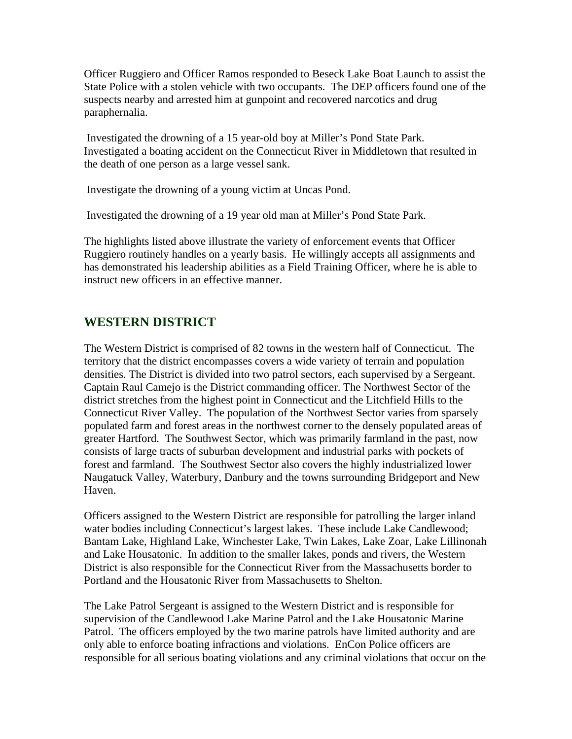Officer Ruggiero and Officer Ramos responded to Beseck Lake Boat Launch to assist the State Police with a stolen vehicle with two occupants. The DEP officers found one of the suspects nearby and arrested him at gunpoint and recovered narcotics and drug paraphernalia.

 Investigated the drowning of a 15 year-old boy at Miller's Pond State Park. Investigated a boating accident on the Connecticut River in Middletown that resulted in the death of one person as a large vessel sank.

Investigate the drowning of a young victim at Uncas Pond.

Investigated the drowning of a 19 year old man at Miller's Pond State Park.

The highlights listed above illustrate the variety of enforcement events that Officer Ruggiero routinely handles on a yearly basis. He willingly accepts all assignments and has demonstrated his leadership abilities as a Field Training Officer, where he is able to instruct new officers in an effective manner.

## **WESTERN DISTRICT**

The Western District is comprised of 82 towns in the western half of Connecticut. The territory that the district encompasses covers a wide variety of terrain and population densities. The District is divided into two patrol sectors, each supervised by a Sergeant. Captain Raul Camejo is the District commanding officer. The Northwest Sector of the district stretches from the highest point in Connecticut and the Litchfield Hills to the Connecticut River Valley. The population of the Northwest Sector varies from sparsely populated farm and forest areas in the northwest corner to the densely populated areas of greater Hartford. The Southwest Sector, which was primarily farmland in the past, now consists of large tracts of suburban development and industrial parks with pockets of forest and farmland. The Southwest Sector also covers the highly industrialized lower Naugatuck Valley, Waterbury, Danbury and the towns surrounding Bridgeport and New Haven.

Officers assigned to the Western District are responsible for patrolling the larger inland water bodies including Connecticut's largest lakes. These include Lake Candlewood; Bantam Lake, Highland Lake, Winchester Lake, Twin Lakes, Lake Zoar, Lake Lillinonah and Lake Housatonic. In addition to the smaller lakes, ponds and rivers, the Western District is also responsible for the Connecticut River from the Massachusetts border to Portland and the Housatonic River from Massachusetts to Shelton.

The Lake Patrol Sergeant is assigned to the Western District and is responsible for supervision of the Candlewood Lake Marine Patrol and the Lake Housatonic Marine Patrol. The officers employed by the two marine patrols have limited authority and are only able to enforce boating infractions and violations. EnCon Police officers are responsible for all serious boating violations and any criminal violations that occur on the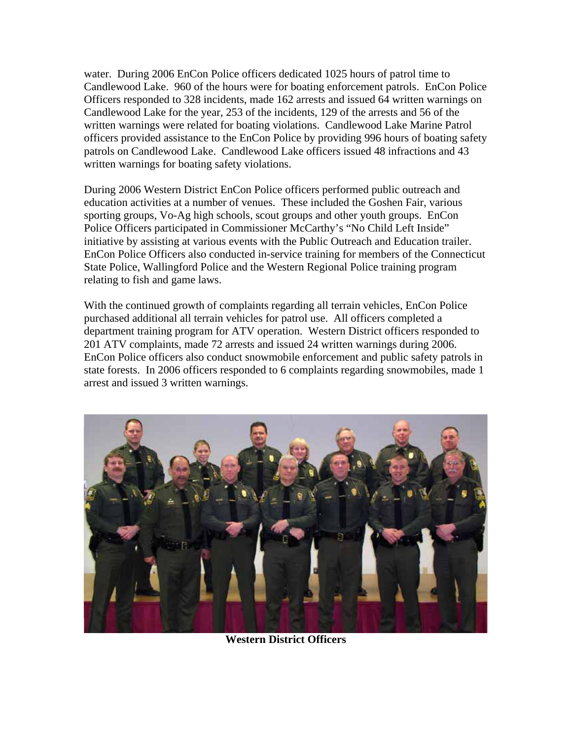water. During 2006 EnCon Police officers dedicated 1025 hours of patrol time to Candlewood Lake. 960 of the hours were for boating enforcement patrols. EnCon Police Officers responded to 328 incidents, made 162 arrests and issued 64 written warnings on Candlewood Lake for the year, 253 of the incidents, 129 of the arrests and 56 of the written warnings were related for boating violations. Candlewood Lake Marine Patrol officers provided assistance to the EnCon Police by providing 996 hours of boating safety patrols on Candlewood Lake. Candlewood Lake officers issued 48 infractions and 43 written warnings for boating safety violations.

During 2006 Western District EnCon Police officers performed public outreach and education activities at a number of venues. These included the Goshen Fair, various sporting groups, Vo-Ag high schools, scout groups and other youth groups. EnCon Police Officers participated in Commissioner McCarthy's "No Child Left Inside" initiative by assisting at various events with the Public Outreach and Education trailer. EnCon Police Officers also conducted in-service training for members of the Connecticut State Police, Wallingford Police and the Western Regional Police training program relating to fish and game laws.

With the continued growth of complaints regarding all terrain vehicles, EnCon Police purchased additional all terrain vehicles for patrol use. All officers completed a department training program for ATV operation. Western District officers responded to 201 ATV complaints, made 72 arrests and issued 24 written warnings during 2006. EnCon Police officers also conduct snowmobile enforcement and public safety patrols in state forests. In 2006 officers responded to 6 complaints regarding snowmobiles, made 1 arrest and issued 3 written warnings.



**Western District Officers**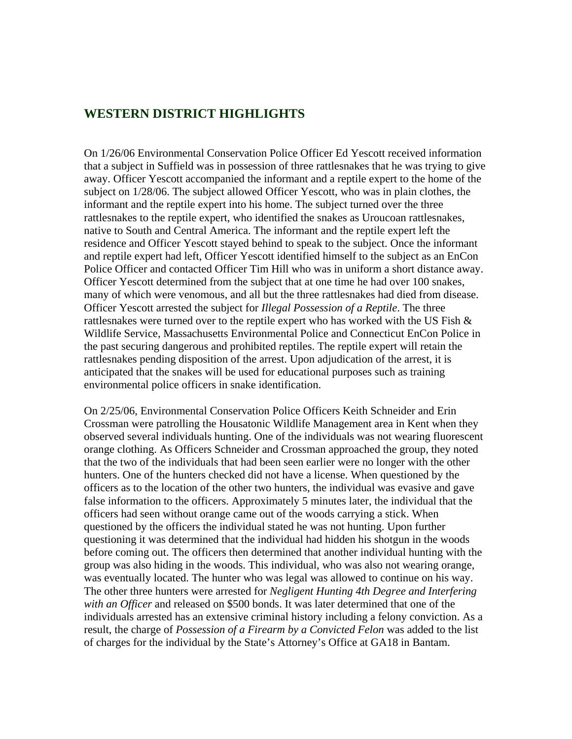#### **WESTERN DISTRICT HIGHLIGHTS**

On 1/26/06 Environmental Conservation Police Officer Ed Yescott received information that a subject in Suffield was in possession of three rattlesnakes that he was trying to give away. Officer Yescott accompanied the informant and a reptile expert to the home of the subject on 1/28/06. The subject allowed Officer Yescott, who was in plain clothes, the informant and the reptile expert into his home. The subject turned over the three rattlesnakes to the reptile expert, who identified the snakes as Uroucoan rattlesnakes, native to South and Central America. The informant and the reptile expert left the residence and Officer Yescott stayed behind to speak to the subject. Once the informant and reptile expert had left, Officer Yescott identified himself to the subject as an EnCon Police Officer and contacted Officer Tim Hill who was in uniform a short distance away. Officer Yescott determined from the subject that at one time he had over 100 snakes, many of which were venomous, and all but the three rattlesnakes had died from disease. Officer Yescott arrested the subject for *Illegal Possession of a Reptile*. The three rattlesnakes were turned over to the reptile expert who has worked with the US Fish  $\&$ Wildlife Service, Massachusetts Environmental Police and Connecticut EnCon Police in the past securing dangerous and prohibited reptiles. The reptile expert will retain the rattlesnakes pending disposition of the arrest. Upon adjudication of the arrest, it is anticipated that the snakes will be used for educational purposes such as training environmental police officers in snake identification.

On 2/25/06, Environmental Conservation Police Officers Keith Schneider and Erin Crossman were patrolling the Housatonic Wildlife Management area in Kent when they observed several individuals hunting. One of the individuals was not wearing fluorescent orange clothing. As Officers Schneider and Crossman approached the group, they noted that the two of the individuals that had been seen earlier were no longer with the other hunters. One of the hunters checked did not have a license. When questioned by the officers as to the location of the other two hunters, the individual was evasive and gave false information to the officers. Approximately 5 minutes later, the individual that the officers had seen without orange came out of the woods carrying a stick. When questioned by the officers the individual stated he was not hunting. Upon further questioning it was determined that the individual had hidden his shotgun in the woods before coming out. The officers then determined that another individual hunting with the group was also hiding in the woods. This individual, who was also not wearing orange, was eventually located. The hunter who was legal was allowed to continue on his way. The other three hunters were arrested for *Negligent Hunting 4th Degree and Interfering with an Officer* and released on \$500 bonds. It was later determined that one of the individuals arrested has an extensive criminal history including a felony conviction. As a result, the charge of *Possession of a Firearm by a Convicted Felon* was added to the list of charges for the individual by the State's Attorney's Office at GA18 in Bantam.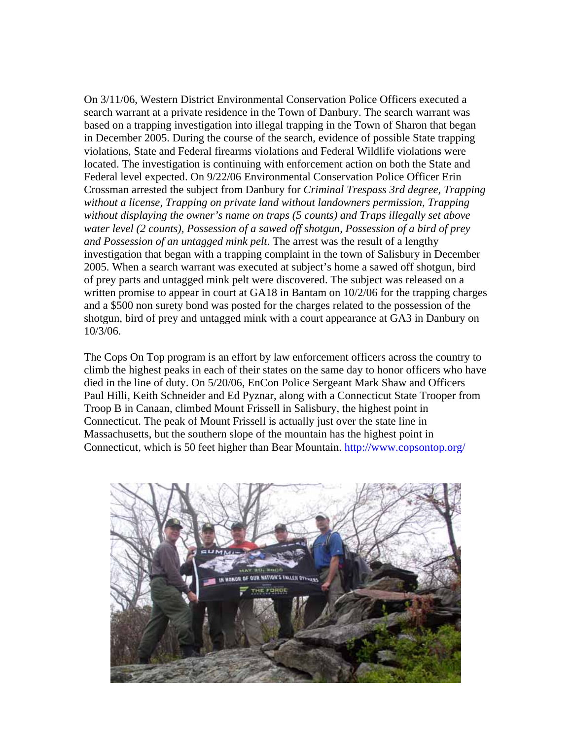On 3/11/06, Western District Environmental Conservation Police Officers executed a search warrant at a private residence in the Town of Danbury. The search warrant was based on a trapping investigation into illegal trapping in the Town of Sharon that began in December 2005. During the course of the search, evidence of possible State trapping violations, State and Federal firearms violations and Federal Wildlife violations were located. The investigation is continuing with enforcement action on both the State and Federal level expected. On 9/22/06 Environmental Conservation Police Officer Erin Crossman arrested the subject from Danbury for *Criminal Trespass 3rd degree, Trapping without a license, Trapping on private land without landowners permission, Trapping without displaying the owner's name on traps (5 counts) and Traps illegally set above water level (2 counts), Possession of a sawed off shotgun, Possession of a bird of prey and Possession of an untagged mink pelt*. The arrest was the result of a lengthy investigation that began with a trapping complaint in the town of Salisbury in December 2005. When a search warrant was executed at subject's home a sawed off shotgun, bird of prey parts and untagged mink pelt were discovered. The subject was released on a written promise to appear in court at GA18 in Bantam on 10/2/06 for the trapping charges and a \$500 non surety bond was posted for the charges related to the possession of the shotgun, bird of prey and untagged mink with a court appearance at GA3 in Danbury on 10/3/06.

The Cops On Top program is an effort by law enforcement officers across the country to climb the highest peaks in each of their states on the same day to honor officers who have died in the line of duty. On 5/20/06, EnCon Police Sergeant Mark Shaw and Officers Paul Hilli, Keith Schneider and Ed Pyznar, along with a Connecticut State Trooper from Troop B in Canaan, climbed Mount Frissell in Salisbury, the highest point in Connecticut. The peak of Mount Frissell is actually just over the state line in Massachusetts, but the southern slope of the mountain has the highest point in Connecticut, which is 50 feet higher than Bear Mountain. <http://www.copsontop.org/>

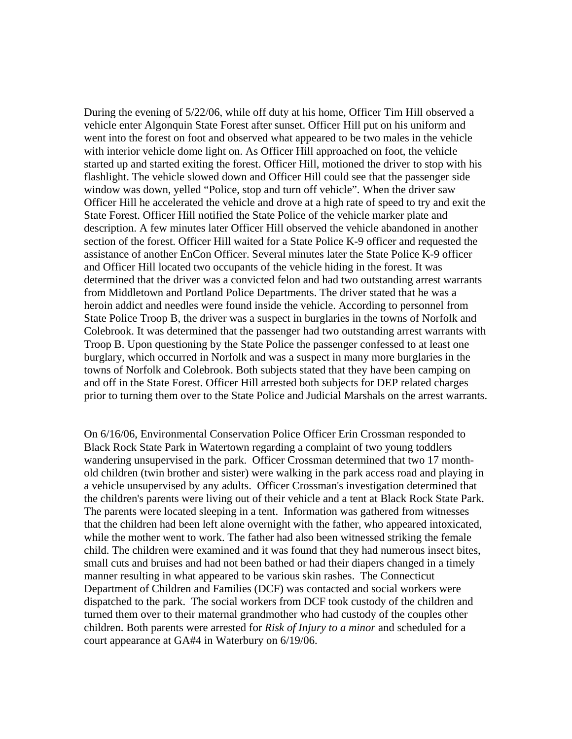During the evening of 5/22/06, while off duty at his home, Officer Tim Hill observed a vehicle enter Algonquin State Forest after sunset. Officer Hill put on his uniform and went into the forest on foot and observed what appeared to be two males in the vehicle with interior vehicle dome light on. As Officer Hill approached on foot, the vehicle started up and started exiting the forest. Officer Hill, motioned the driver to stop with his flashlight. The vehicle slowed down and Officer Hill could see that the passenger side window was down, yelled "Police, stop and turn off vehicle". When the driver saw Officer Hill he accelerated the vehicle and drove at a high rate of speed to try and exit the State Forest. Officer Hill notified the State Police of the vehicle marker plate and description. A few minutes later Officer Hill observed the vehicle abandoned in another section of the forest. Officer Hill waited for a State Police K-9 officer and requested the assistance of another EnCon Officer. Several minutes later the State Police K-9 officer and Officer Hill located two occupants of the vehicle hiding in the forest. It was determined that the driver was a convicted felon and had two outstanding arrest warrants from Middletown and Portland Police Departments. The driver stated that he was a heroin addict and needles were found inside the vehicle. According to personnel from State Police Troop B, the driver was a suspect in burglaries in the towns of Norfolk and Colebrook. It was determined that the passenger had two outstanding arrest warrants with Troop B. Upon questioning by the State Police the passenger confessed to at least one burglary, which occurred in Norfolk and was a suspect in many more burglaries in the towns of Norfolk and Colebrook. Both subjects stated that they have been camping on and off in the State Forest. Officer Hill arrested both subjects for DEP related charges prior to turning them over to the State Police and Judicial Marshals on the arrest warrants.

On 6/16/06, Environmental Conservation Police Officer Erin Crossman responded to Black Rock State Park in Watertown regarding a complaint of two young toddlers wandering unsupervised in the park. Officer Crossman determined that two 17 monthold children (twin brother and sister) were walking in the park access road and playing in a vehicle unsupervised by any adults. Officer Crossman's investigation determined that the children's parents were living out of their vehicle and a tent at Black Rock State Park. The parents were located sleeping in a tent. Information was gathered from witnesses that the children had been left alone overnight with the father, who appeared intoxicated, while the mother went to work. The father had also been witnessed striking the female child. The children were examined and it was found that they had numerous insect bites, small cuts and bruises and had not been bathed or had their diapers changed in a timely manner resulting in what appeared to be various skin rashes. The Connecticut Department of Children and Families (DCF) was contacted and social workers were dispatched to the park. The social workers from DCF took custody of the children and turned them over to their maternal grandmother who had custody of the couples other children. Both parents were arrested for *Risk of Injury to a minor* and scheduled for a court appearance at GA#4 in Waterbury on 6/19/06.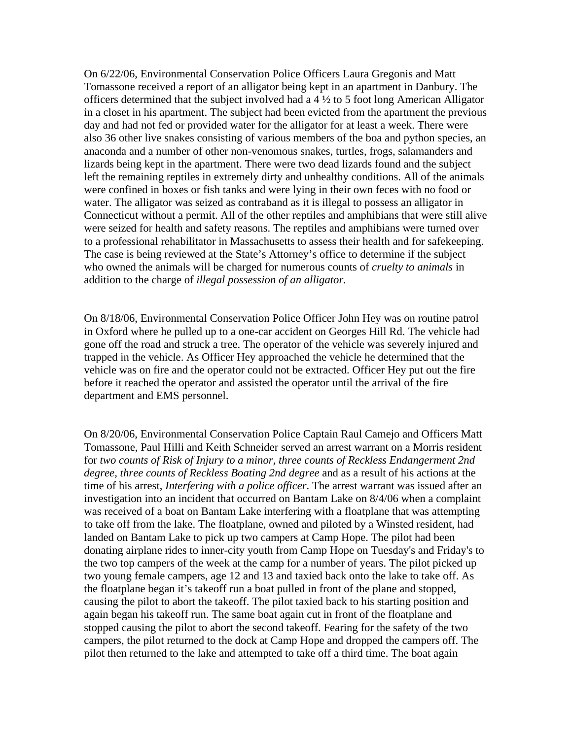On 6/22/06, Environmental Conservation Police Officers Laura Gregonis and Matt Tomassone received a report of an alligator being kept in an apartment in Danbury. The officers determined that the subject involved had a 4 ½ to 5 foot long American Alligator in a closet in his apartment. The subject had been evicted from the apartment the previous day and had not fed or provided water for the alligator for at least a week. There were also 36 other live snakes consisting of various members of the boa and python species, an anaconda and a number of other non-venomous snakes, turtles, frogs, salamanders and lizards being kept in the apartment. There were two dead lizards found and the subject left the remaining reptiles in extremely dirty and unhealthy conditions. All of the animals were confined in boxes or fish tanks and were lying in their own feces with no food or water. The alligator was seized as contraband as it is illegal to possess an alligator in Connecticut without a permit. All of the other reptiles and amphibians that were still alive were seized for health and safety reasons. The reptiles and amphibians were turned over to a professional rehabilitator in Massachusetts to assess their health and for safekeeping. The case is being reviewed at the State's Attorney's office to determine if the subject who owned the animals will be charged for numerous counts of *cruelty to animals* in addition to the charge of *illegal possession of an alligator.* 

On 8/18/06, Environmental Conservation Police Officer John Hey was on routine patrol in Oxford where he pulled up to a one-car accident on Georges Hill Rd. The vehicle had gone off the road and struck a tree. The operator of the vehicle was severely injured and trapped in the vehicle. As Officer Hey approached the vehicle he determined that the vehicle was on fire and the operator could not be extracted. Officer Hey put out the fire before it reached the operator and assisted the operator until the arrival of the fire department and EMS personnel.

On 8/20/06, Environmental Conservation Police Captain Raul Camejo and Officers Matt Tomassone, Paul Hilli and Keith Schneider served an arrest warrant on a Morris resident for *two counts of Risk of Injury to a minor, three counts of Reckless Endangerment 2nd degree, three counts of Reckless Boating 2nd degree* and as a result of his actions at the time of his arrest, *Interfering with a police officer*. The arrest warrant was issued after an investigation into an incident that occurred on Bantam Lake on 8/4/06 when a complaint was received of a boat on Bantam Lake interfering with a floatplane that was attempting to take off from the lake. The floatplane, owned and piloted by a Winsted resident, had landed on Bantam Lake to pick up two campers at Camp Hope. The pilot had been donating airplane rides to inner-city youth from Camp Hope on Tuesday's and Friday's to the two top campers of the week at the camp for a number of years. The pilot picked up two young female campers, age 12 and 13 and taxied back onto the lake to take off. As the floatplane began it's takeoff run a boat pulled in front of the plane and stopped, causing the pilot to abort the takeoff. The pilot taxied back to his starting position and again began his takeoff run. The same boat again cut in front of the floatplane and stopped causing the pilot to abort the second takeoff. Fearing for the safety of the two campers, the pilot returned to the dock at Camp Hope and dropped the campers off. The pilot then returned to the lake and attempted to take off a third time. The boat again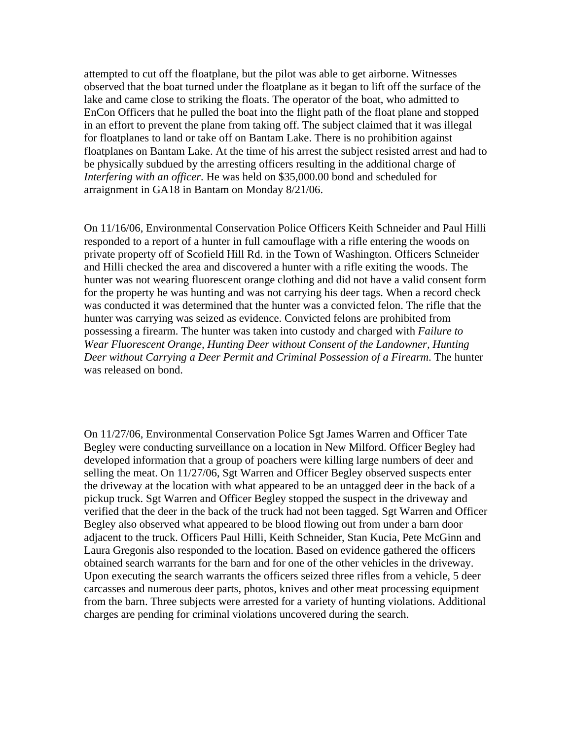attempted to cut off the floatplane, but the pilot was able to get airborne. Witnesses observed that the boat turned under the floatplane as it began to lift off the surface of the lake and came close to striking the floats. The operator of the boat, who admitted to EnCon Officers that he pulled the boat into the flight path of the float plane and stopped in an effort to prevent the plane from taking off. The subject claimed that it was illegal for floatplanes to land or take off on Bantam Lake. There is no prohibition against floatplanes on Bantam Lake. At the time of his arrest the subject resisted arrest and had to be physically subdued by the arresting officers resulting in the additional charge of *Interfering with an officer*. He was held on \$35,000.00 bond and scheduled for arraignment in GA18 in Bantam on Monday 8/21/06.

On 11/16/06, Environmental Conservation Police Officers Keith Schneider and Paul Hilli responded to a report of a hunter in full camouflage with a rifle entering the woods on private property off of Scofield Hill Rd. in the Town of Washington. Officers Schneider and Hilli checked the area and discovered a hunter with a rifle exiting the woods. The hunter was not wearing fluorescent orange clothing and did not have a valid consent form for the property he was hunting and was not carrying his deer tags. When a record check was conducted it was determined that the hunter was a convicted felon. The rifle that the hunter was carrying was seized as evidence. Convicted felons are prohibited from possessing a firearm. The hunter was taken into custody and charged with *Failure to Wear Fluorescent Orange, Hunting Deer without Consent of the Landowner, Hunting Deer without Carrying a Deer Permit and Criminal Possession of a Firearm*. The hunter was released on bond.

On 11/27/06, Environmental Conservation Police Sgt James Warren and Officer Tate Begley were conducting surveillance on a location in New Milford. Officer Begley had developed information that a group of poachers were killing large numbers of deer and selling the meat. On 11/27/06, Sgt Warren and Officer Begley observed suspects enter the driveway at the location with what appeared to be an untagged deer in the back of a pickup truck. Sgt Warren and Officer Begley stopped the suspect in the driveway and verified that the deer in the back of the truck had not been tagged. Sgt Warren and Officer Begley also observed what appeared to be blood flowing out from under a barn door adjacent to the truck. Officers Paul Hilli, Keith Schneider, Stan Kucia, Pete McGinn and Laura Gregonis also responded to the location. Based on evidence gathered the officers obtained search warrants for the barn and for one of the other vehicles in the driveway. Upon executing the search warrants the officers seized three rifles from a vehicle, 5 deer carcasses and numerous deer parts, photos, knives and other meat processing equipment from the barn. Three subjects were arrested for a variety of hunting violations. Additional charges are pending for criminal violations uncovered during the search.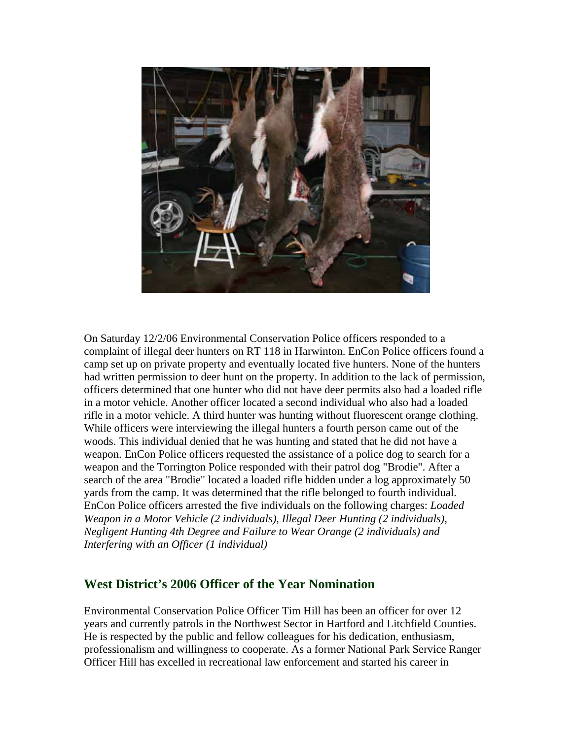

On Saturday 12/2/06 Environmental Conservation Police officers responded to a complaint of illegal deer hunters on RT 118 in Harwinton. EnCon Police officers found a camp set up on private property and eventually located five hunters. None of the hunters had written permission to deer hunt on the property. In addition to the lack of permission, officers determined that one hunter who did not have deer permits also had a loaded rifle in a motor vehicle. Another officer located a second individual who also had a loaded rifle in a motor vehicle. A third hunter was hunting without fluorescent orange clothing. While officers were interviewing the illegal hunters a fourth person came out of the woods. This individual denied that he was hunting and stated that he did not have a weapon. EnCon Police officers requested the assistance of a police dog to search for a weapon and the Torrington Police responded with their patrol dog "Brodie". After a search of the area "Brodie" located a loaded rifle hidden under a log approximately 50 yards from the camp. It was determined that the rifle belonged to fourth individual. EnCon Police officers arrested the five individuals on the following charges: *Loaded Weapon in a Motor Vehicle (2 individuals), Illegal Deer Hunting (2 individuals), Negligent Hunting 4th Degree and Failure to Wear Orange (2 individuals) and Interfering with an Officer (1 individual)* 

#### **West District's 2006 Officer of the Year Nomination**

Environmental Conservation Police Officer Tim Hill has been an officer for over 12 years and currently patrols in the Northwest Sector in Hartford and Litchfield Counties. He is respected by the public and fellow colleagues for his dedication, enthusiasm, professionalism and willingness to cooperate. As a former National Park Service Ranger Officer Hill has excelled in recreational law enforcement and started his career in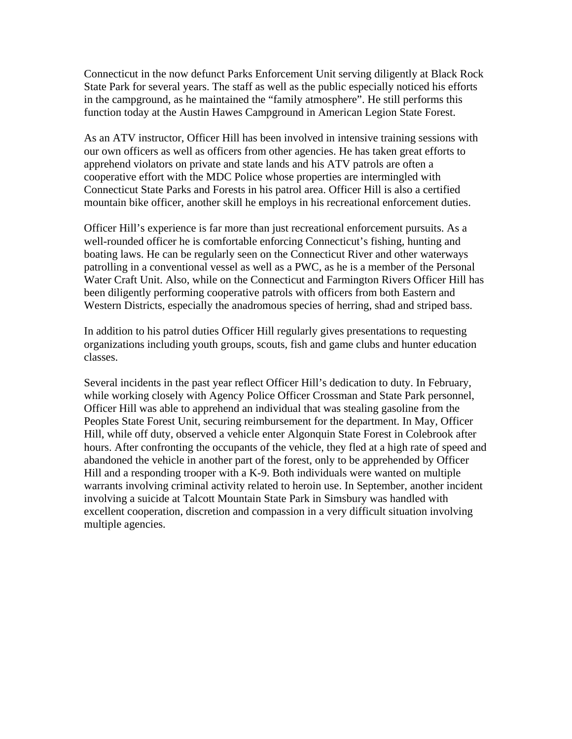Connecticut in the now defunct Parks Enforcement Unit serving diligently at Black Rock State Park for several years. The staff as well as the public especially noticed his efforts in the campground, as he maintained the "family atmosphere". He still performs this function today at the Austin Hawes Campground in American Legion State Forest.

As an ATV instructor, Officer Hill has been involved in intensive training sessions with our own officers as well as officers from other agencies. He has taken great efforts to apprehend violators on private and state lands and his ATV patrols are often a cooperative effort with the MDC Police whose properties are intermingled with Connecticut State Parks and Forests in his patrol area. Officer Hill is also a certified mountain bike officer, another skill he employs in his recreational enforcement duties.

Officer Hill's experience is far more than just recreational enforcement pursuits. As a well-rounded officer he is comfortable enforcing Connecticut's fishing, hunting and boating laws. He can be regularly seen on the Connecticut River and other waterways patrolling in a conventional vessel as well as a PWC, as he is a member of the Personal Water Craft Unit. Also, while on the Connecticut and Farmington Rivers Officer Hill has been diligently performing cooperative patrols with officers from both Eastern and Western Districts, especially the anadromous species of herring, shad and striped bass.

In addition to his patrol duties Officer Hill regularly gives presentations to requesting organizations including youth groups, scouts, fish and game clubs and hunter education classes.

Several incidents in the past year reflect Officer Hill's dedication to duty. In February, while working closely with Agency Police Officer Crossman and State Park personnel, Officer Hill was able to apprehend an individual that was stealing gasoline from the Peoples State Forest Unit, securing reimbursement for the department. In May, Officer Hill, while off duty, observed a vehicle enter Algonquin State Forest in Colebrook after hours. After confronting the occupants of the vehicle, they fled at a high rate of speed and abandoned the vehicle in another part of the forest, only to be apprehended by Officer Hill and a responding trooper with a K-9. Both individuals were wanted on multiple warrants involving criminal activity related to heroin use. In September, another incident involving a suicide at Talcott Mountain State Park in Simsbury was handled with excellent cooperation, discretion and compassion in a very difficult situation involving multiple agencies.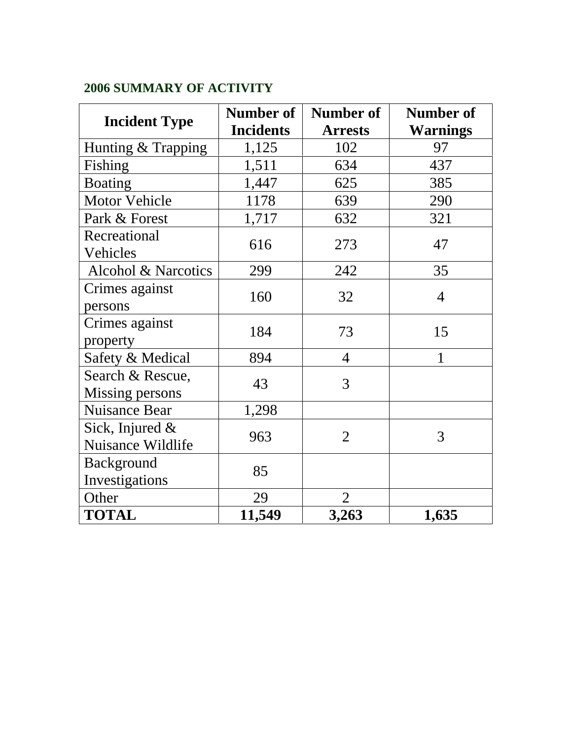# **2006 SUMMARY OF ACTIVITY**

| <b>Incident Type</b>                 | Number of        | Number of      | Number of       |
|--------------------------------------|------------------|----------------|-----------------|
|                                      | <b>Incidents</b> | <b>Arrests</b> | <b>Warnings</b> |
| Hunting & Trapping                   | 1,125            | 102            | 97              |
| Fishing                              | 1,511            | 634            | 437             |
| <b>Boating</b>                       | 1,447            | 625            | 385             |
| <b>Motor Vehicle</b>                 | 1178             | 639            | 290             |
| Park & Forest                        | 1,717            | 632            | 321             |
| Recreational<br>Vehicles             | 616              | 273            | 47              |
| Alcohol & Narcotics                  | 299              | 242            | 35              |
| Crimes against<br>persons            | 160              | 32             | $\overline{4}$  |
| Crimes against<br>property           | 184              | 73             | 15              |
| Safety & Medical                     | 894              | $\overline{4}$ | 1               |
| Search & Rescue,<br>Missing persons  | 43               | 3              |                 |
| <b>Nuisance Bear</b>                 | 1,298            |                |                 |
| Sick, Injured &<br>Nuisance Wildlife | 963              | $\overline{2}$ | 3               |
| Background<br>Investigations         | 85               |                |                 |
| Other                                | 29               | $\overline{2}$ |                 |
| <b>TOTAL</b>                         | 11,549           | 3,263          | 1,635           |